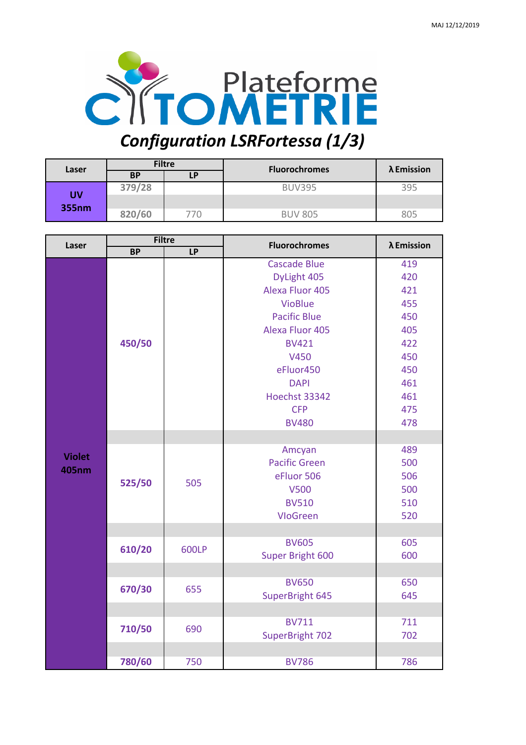

## **BP LP 379/28** BUV395 395 **820/60** 770 BUV 805 805 **Filtre UV 355nm** Laser  $\begin{array}{|c|c|c|c|c|}\n\hline\n\text{Laser} & \text{Fulure} & \text{Fluorochrones}\n\hline\n\end{array}$ **λ Emission**

| Laser         | <b>Filtre</b> |       | <b>Fluorochromes</b>   | λ Emission |
|---------------|---------------|-------|------------------------|------------|
|               | <b>BP</b>     | $L$ P |                        |            |
|               | 450/50        |       | <b>Cascade Blue</b>    | 419        |
|               |               |       | DyLight 405            | 420        |
|               |               |       | <b>Alexa Fluor 405</b> | 421        |
|               |               |       | <b>VioBlue</b>         | 455        |
|               |               |       | <b>Pacific Blue</b>    | 450        |
|               |               |       | Alexa Fluor 405        | 405        |
|               |               |       | <b>BV421</b>           | 422        |
|               |               |       | V450                   | 450        |
|               |               |       | eFluor450              | 450        |
|               |               |       | <b>DAPI</b>            | 461        |
|               |               |       | Hoechst 33342          | 461        |
|               |               |       | <b>CFP</b>             | 475        |
|               |               |       | <b>BV480</b>           | 478        |
|               |               |       |                        |            |
|               |               |       | Amcyan                 | 489        |
| <b>Violet</b> | 525/50        | 505   | <b>Pacific Green</b>   | 500        |
| <b>405nm</b>  |               |       | eFluor 506             | 506        |
|               |               |       | <b>V500</b>            | 500        |
|               |               |       | <b>BV510</b>           | 510        |
|               |               |       | <b>VloGreen</b>        | 520        |
|               |               |       |                        |            |
|               | 610/20        | 600LP | <b>BV605</b>           | 605        |
|               |               |       | Super Bright 600       | 600        |
|               |               |       |                        |            |
|               | 670/30        | 655   | <b>BV650</b>           | 650        |
|               |               |       | SuperBright 645        | 645        |
|               |               |       |                        |            |
|               | 710/50        | 690   | <b>BV711</b>           | 711        |
|               |               |       | SuperBright 702        | 702        |
|               |               |       |                        |            |
|               | 780/60        | 750   | <b>BV786</b>           | 786        |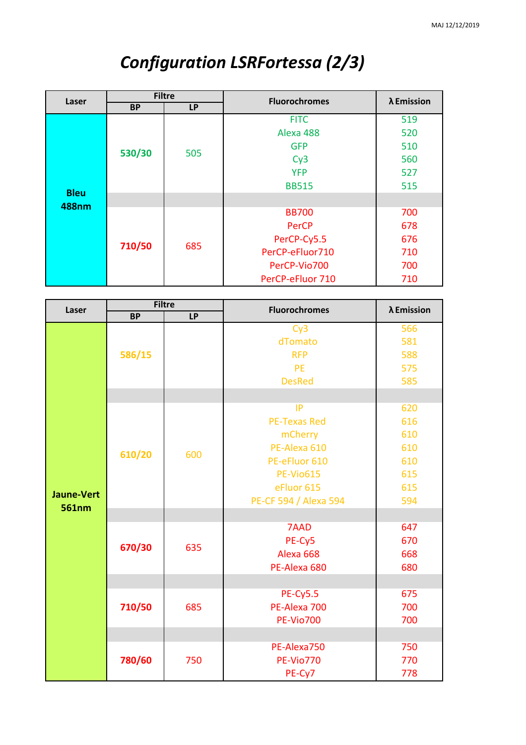| Laser                       | <b>Filtre</b> |           | <b>Fluorochromes</b> | λ Emission |
|-----------------------------|---------------|-----------|----------------------|------------|
|                             | <b>BP</b>     | <b>LP</b> |                      |            |
| <b>Bleu</b><br><b>488nm</b> | 530/30        | 505       | <b>FITC</b>          | 519        |
|                             |               |           | Alexa 488            | 520        |
|                             |               |           | <b>GFP</b>           | 510        |
|                             |               |           | Cy3                  | 560        |
|                             |               |           | <b>YFP</b>           | 527        |
|                             |               |           | <b>BB515</b>         | 515        |
|                             |               |           |                      |            |
|                             | 710/50        |           | <b>BB700</b>         | 700        |
|                             |               |           | PerCP                | 678        |
|                             |               |           | PerCP-Cy5.5          | 676        |
|                             |               | 685       | PerCP-eFluor710      | 710        |
|                             |               |           | PerCP-Vio700         | 700        |
|                             |               |           | PerCP-eFluor 710     | 710        |

## *Configuration LSRFortessa (2/3)*

| Laser             | <b>Filtre</b> |     | <b>Fluorochromes</b>  | λ Emission |
|-------------------|---------------|-----|-----------------------|------------|
|                   | <b>BP</b>     | LP  |                       |            |
|                   | 586/15        |     | Cy3                   | 566        |
|                   |               |     | dTomato               | 581        |
|                   |               |     | <b>RFP</b>            | 588        |
|                   |               |     | <b>PE</b>             | 575        |
|                   |               |     | <b>DesRed</b>         | 585        |
|                   |               |     |                       |            |
|                   |               |     | IP                    | 620        |
|                   |               |     | <b>PE-Texas Red</b>   | 616        |
|                   |               |     | mCherry               | 610        |
|                   |               |     | PE-Alexa 610          | 610        |
|                   | 610/20        | 600 | PE-eFluor 610         | 610        |
|                   |               |     | <b>PE-Vio615</b>      | 615        |
| <b>Jaune-Vert</b> |               |     | eFluor 615            | 615        |
|                   |               |     | PE-CF 594 / Alexa 594 | 594        |
| 561nm             |               |     |                       |            |
|                   | 670/30        | 635 | 7AAD                  | 647        |
|                   |               |     | PE-Cy5                | 670        |
|                   |               |     | Alexa <sub>668</sub>  | 668        |
|                   |               |     | PE-Alexa 680          | 680        |
|                   |               |     |                       |            |
|                   |               |     | <b>PE-Cy5.5</b>       | 675        |
|                   | 710/50        | 685 | PE-Alexa 700          | 700        |
|                   |               |     | <b>PE-Vio700</b>      | 700        |
|                   |               |     |                       |            |
|                   | 780/60        | 750 | PE-Alexa750           | 750        |
|                   |               |     | <b>PE-Vio770</b>      | 770        |
|                   |               |     | PE-Cy7                | 778        |